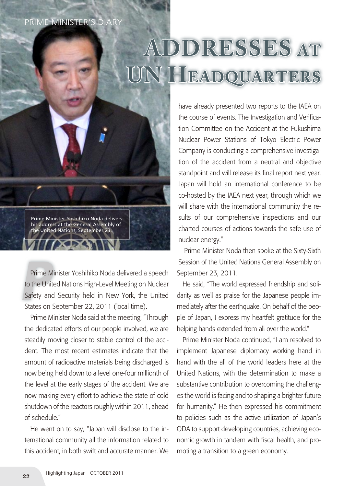## PRIME MINISTER'S DIARY

## **Addresses at UN Headquarters**

Prime Minister Yoshihiko Noda delivers his address at the General Assembly of the United Nations, September 23.

Prime Minister Yoshihiko Noda delivered a speech<br>
to the United Nations High-Level Meeting on Nuclear<br>
Safety and Security held in New York, the United Prime Minister Yoshihiko Noda delivered a speech to the United Nations High-Level Meeting on Nuclear States on September 22, 2011 (local time).

Prime Minister Noda said at the meeting, "Through the dedicated efforts of our people involved, we are steadily moving closer to stable control of the accident. The most recent estimates indicate that the amount of radioactive materials being discharged is now being held down to a level one-four millionth of the level at the early stages of the accident. We are now making every effort to achieve the state of cold shutdown of the reactors roughly within 2011, ahead of schedule."

He went on to say, "Japan will disclose to the international community all the information related to this accident, in both swift and accurate manner. We have already presented two reports to the IAEA on the course of events. The Investigation and Verification Committee on the Accident at the Fukushima Nuclear Power Stations of Tokyo Electric Power Company is conducting a comprehensive investigation of the accident from a neutral and objective standpoint and will release its final report next year. Japan will hold an international conference to be co-hosted by the IAEA next year, through which we will share with the international community the results of our comprehensive inspections and our charted courses of actions towards the safe use of nuclear energy."

Prime Minister Noda then spoke at the Sixty-Sixth Session of the United Nations General Assembly on September 23, 2011.

He said, "The world expressed friendship and solidarity as well as praise for the Japanese people immediately after the earthquake. On behalf of the people of Japan, I express my heartfelt gratitude for the helping hands extended from all over the world."

Prime Minister Noda continued, "I am resolved to implement Japanese diplomacy working hand in hand with the all of the world leaders here at the United Nations, with the determination to make a substantive contribution to overcoming the challenges the world is facing and to shaping a brighter future for humanity." He then expressed his commitment to policies such as the active utilization of Japan's ODA to support developing countries, achieving economic growth in tandem with fiscal health, and promoting a transition to a green economy.